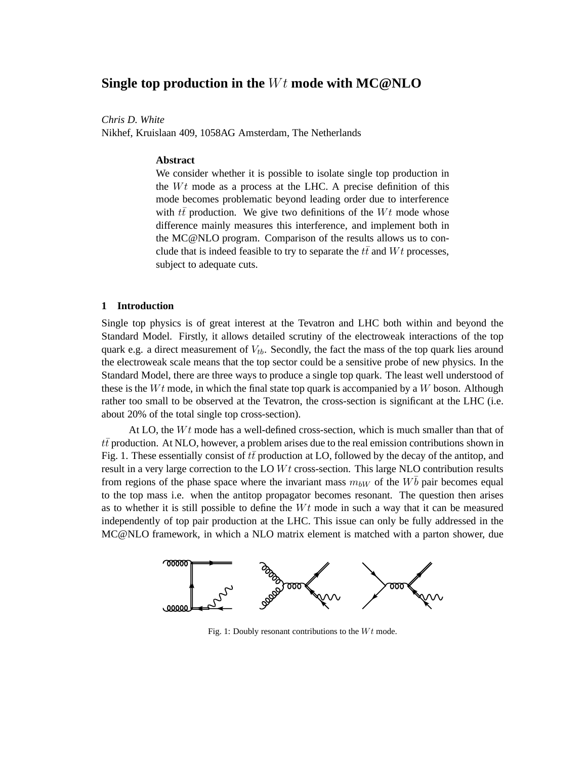# **Single top production in the** Wt **mode with MC@NLO**

*Chris D. White*

Nikhef, Kruislaan 409, 1058AG Amsterdam, The Netherlands

#### **Abstract**

We consider whether it is possible to isolate single top production in the  $Wt$  mode as a process at the LHC. A precise definition of this mode becomes problematic beyond leading order due to interference with  $t\bar{t}$  production. We give two definitions of the Wt mode whose difference mainly measures this interference, and implement both in the MC@NLO program. Comparison of the results allows us to conclude that is indeed feasible to try to separate the  $t\bar{t}$  and  $Wt$  processes, subject to adequate cuts.

## **1 Introduction**

Single top physics is of great interest at the Tevatron and LHC both within and beyond the Standard Model. Firstly, it allows detailed scrutiny of the electroweak interactions of the top quark e.g. a direct measurement of  $V_{tb}$ . Secondly, the fact the mass of the top quark lies around the electroweak scale means that the top sector could be a sensitive probe of new physics. In the Standard Model, there are three ways to produce a single top quark. The least well understood of these is the  $Wt$  mode, in which the final state top quark is accompanied by a W boson. Although rather too small to be observed at the Tevatron, the cross-section is significant at the LHC (i.e. about 20% of the total single top cross-section).

At LO, the  $Wt$  mode has a well-defined cross-section, which is much smaller than that of  $t\bar{t}$  production. At NLO, however, a problem arises due to the real emission contributions shown in Fig. 1. These essentially consist of  $t\bar{t}$  production at LO, followed by the decay of the antitop, and result in a very large correction to the LO  $Wt$  cross-section. This large NLO contribution results from regions of the phase space where the invariant mass  $m_{bW}$  of the  $W\bar{b}$  pair becomes equal to the top mass i.e. when the antitop propagator becomes resonant. The question then arises as to whether it is still possible to define the  $Wt$  mode in such a way that it can be measured independently of top pair production at the LHC. This issue can only be fully addressed in the MC@NLO framework, in which a NLO matrix element is matched with a parton shower, due



Fig. 1: Doubly resonant contributions to the  $Wt$  mode.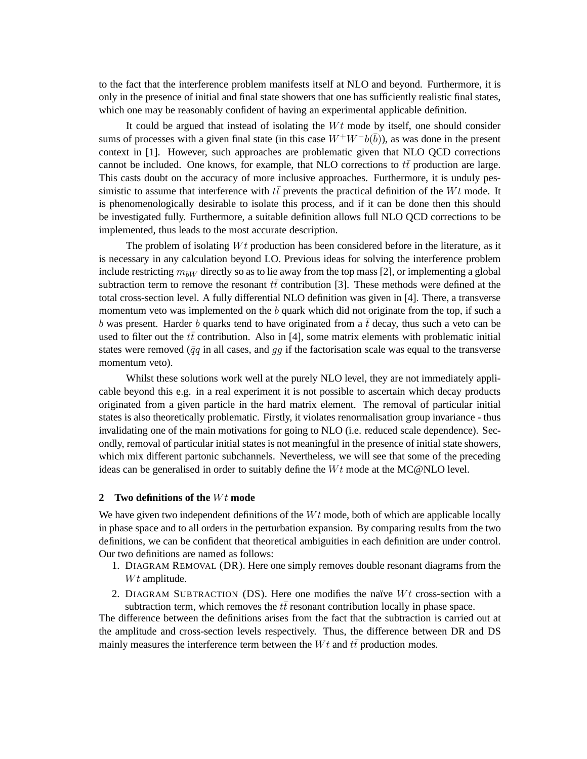to the fact that the interference problem manifests itself at NLO and beyond. Furthermore, it is only in the presence of initial and final state showers that one has sufficiently realistic final states, which one may be reasonably confident of having an experimental applicable definition.

It could be argued that instead of isolating the  $Wt$  mode by itself, one should consider sums of processes with a given final state (in this case  $W^+W^-b(\bar{b})$ ), as was done in the present context in [1]. However, such approaches are problematic given that NLO QCD corrections cannot be included. One knows, for example, that NLO corrections to  $t\bar{t}$  production are large. This casts doubt on the accuracy of more inclusive approaches. Furthermore, it is unduly pessimistic to assume that interference with  $t\bar{t}$  prevents the practical definition of the Wt mode. It is phenomenologically desirable to isolate this process, and if it can be done then this should be investigated fully. Furthermore, a suitable definition allows full NLO QCD corrections to be implemented, thus leads to the most accurate description.

The problem of isolating  $Wt$  production has been considered before in the literature, as it is necessary in any calculation beyond LO. Previous ideas for solving the interference problem include restricting  $m_{bW}$  directly so as to lie away from the top mass [2], or implementing a global subtraction term to remove the resonant  $t\bar{t}$  contribution [3]. These methods were defined at the total cross-section level. A fully differential NLO definition was given in [4]. There, a transverse momentum veto was implemented on the  $b$  quark which did not originate from the top, if such a b was present. Harder b quarks tend to have originated from a  $\bar{t}$  decay, thus such a veto can be used to filter out the  $t\bar{t}$  contribution. Also in [4], some matrix elements with problematic initial states were removed ( $\bar{q}q$  in all cases, and  $qq$  if the factorisation scale was equal to the transverse momentum veto).

Whilst these solutions work well at the purely NLO level, they are not immediately applicable beyond this e.g. in a real experiment it is not possible to ascertain which decay products originated from a given particle in the hard matrix element. The removal of particular initial states is also theoretically problematic. Firstly, it violates renormalisation group invariance - thus invalidating one of the main motivations for going to NLO (i.e. reduced scale dependence). Secondly, removal of particular initial states is not meaningful in the presence of initial state showers, which mix different partonic subchannels. Nevertheless, we will see that some of the preceding ideas can be generalised in order to suitably define the  $Wt$  mode at the MC@NLO level.

# **2** Two definitions of the  $Wt$  mode

We have given two independent definitions of the  $Wt$  mode, both of which are applicable locally in phase space and to all orders in the perturbation expansion. By comparing results from the two definitions, we can be confident that theoretical ambiguities in each definition are under control. Our two definitions are named as follows:

- 1. DIAGRAM REMOVAL (DR). Here one simply removes double resonant diagrams from the  $Wt$  amplitude.
- 2. DIAGRAM SUBTRACTION (DS). Here one modifies the naïve  $Wt$  cross-section with a subtraction term, which removes the  $t\bar{t}$  resonant contribution locally in phase space.

The difference between the definitions arises from the fact that the subtraction is carried out at the amplitude and cross-section levels respectively. Thus, the difference between DR and DS mainly measures the interference term between the  $Wt$  and  $t\bar{t}$  production modes.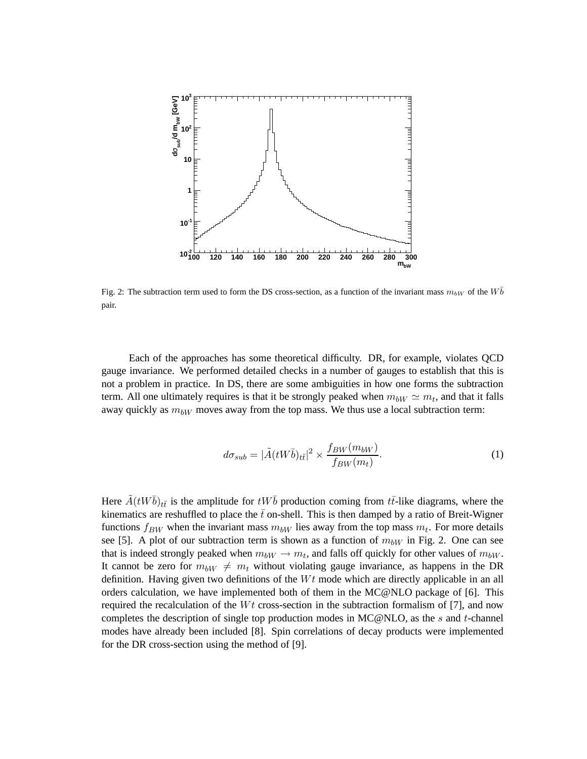

Fig. 2: The subtraction term used to form the DS cross-section, as a function of the invariant mass  $m_{bW}$  of the  $W\overline{b}$ pair.

Each of the approaches has some theoretical difficulty. DR, for example, violates QCD gauge invariance. We performed detailed checks in a number of gauges to establish that this is not a problem in practice. In DS, there are some ambiguities in how one forms the subtraction term. All one ultimately requires is that it be strongly peaked when  $m_{bW} \simeq m_t$ , and that it falls away quickly as  $m_{bW}$  moves away from the top mass. We thus use a local subtraction term:

$$
d\sigma_{sub} = |\tilde{A}(tW\bar{b})_{t\bar{t}}|^2 \times \frac{f_{BW}(m_{bW})}{f_{BW}(m_t)}.
$$
 (1)

Here  $\tilde{A}(tW\bar{b})_{t\bar{t}}$  is the amplitude for  $tW\bar{b}$  production coming from  $t\bar{t}$ -like diagrams, where the kinematics are reshuffled to place the  $\bar{t}$  on-shell. This is then damped by a ratio of Breit-Wigner functions  $f_{BW}$  when the invariant mass  $m_{bW}$  lies away from the top mass  $m_t$ . For more details see [5]. A plot of our subtraction term is shown as a function of  $m_{bW}$  in Fig. 2. One can see that is indeed strongly peaked when  $m_{bW} \rightarrow m_t$ , and falls off quickly for other values of  $m_{bW}$ . It cannot be zero for  $m_{bW} \neq m_t$  without violating gauge invariance, as happens in the DR definition. Having given two definitions of the  $Wt$  mode which are directly applicable in an all orders calculation, we have implemented both of them in the MC@NLO package of [6]. This required the recalculation of the  $Wt$  cross-section in the subtraction formalism of [7], and now completes the description of single top production modes in  $MC@NLO$ , as the s and t-channel modes have already been included [8]. Spin correlations of decay products were implemented for the DR cross-section using the method of [9].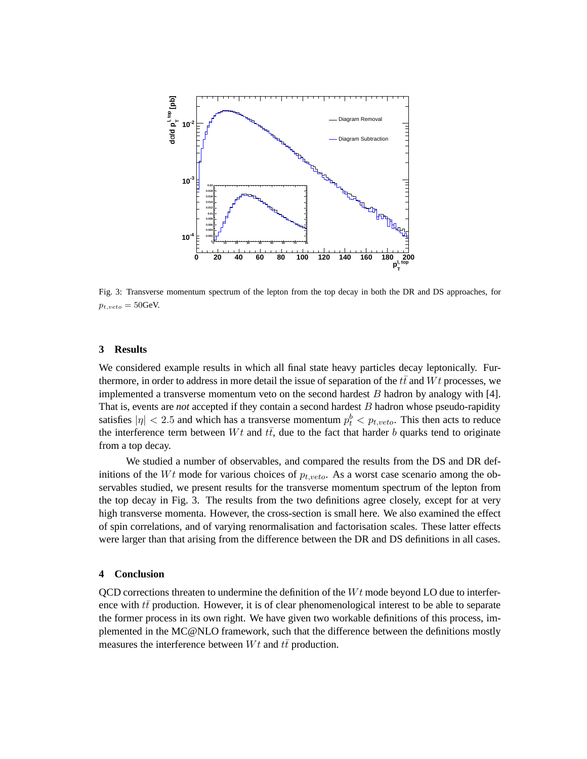

Fig. 3: Transverse momentum spectrum of the lepton from the top decay in both the DR and DS approaches, for  $p_{t, veto} = 50$ GeV.

## **3 Results**

We considered example results in which all final state heavy particles decay leptonically. Furthermore, in order to address in more detail the issue of separation of the  $t\bar{t}$  and  $Wt$  processes, we implemented a transverse momentum veto on the second hardest  $B$  hadron by analogy with [4]. That is, events are *not* accepted if they contain a second hardest B hadron whose pseudo-rapidity satisfies  $|\eta| < 2.5$  and which has a transverse momentum  $p_t^b < p_{t, veto}$ . This then acts to reduce the interference term between  $Wt$  and  $t\bar{t}$ , due to the fact that harder b quarks tend to originate from a top decay.

We studied a number of observables, and compared the results from the DS and DR definitions of the Wt mode for various choices of  $p_{t, veto}$ . As a worst case scenario among the observables studied, we present results for the transverse momentum spectrum of the lepton from the top decay in Fig. 3. The results from the two definitions agree closely, except for at very high transverse momenta. However, the cross-section is small here. We also examined the effect of spin correlations, and of varying renormalisation and factorisation scales. These latter effects were larger than that arising from the difference between the DR and DS definitions in all cases.

## **4 Conclusion**

 $QCD$  corrections threaten to undermine the definition of the  $Wt$  mode beyond LO due to interference with  $t\bar{t}$  production. However, it is of clear phenomenological interest to be able to separate the former process in its own right. We have given two workable definitions of this process, implemented in the MC@NLO framework, such that the difference between the definitions mostly measures the interference between  $Wt$  and  $t\bar{t}$  production.